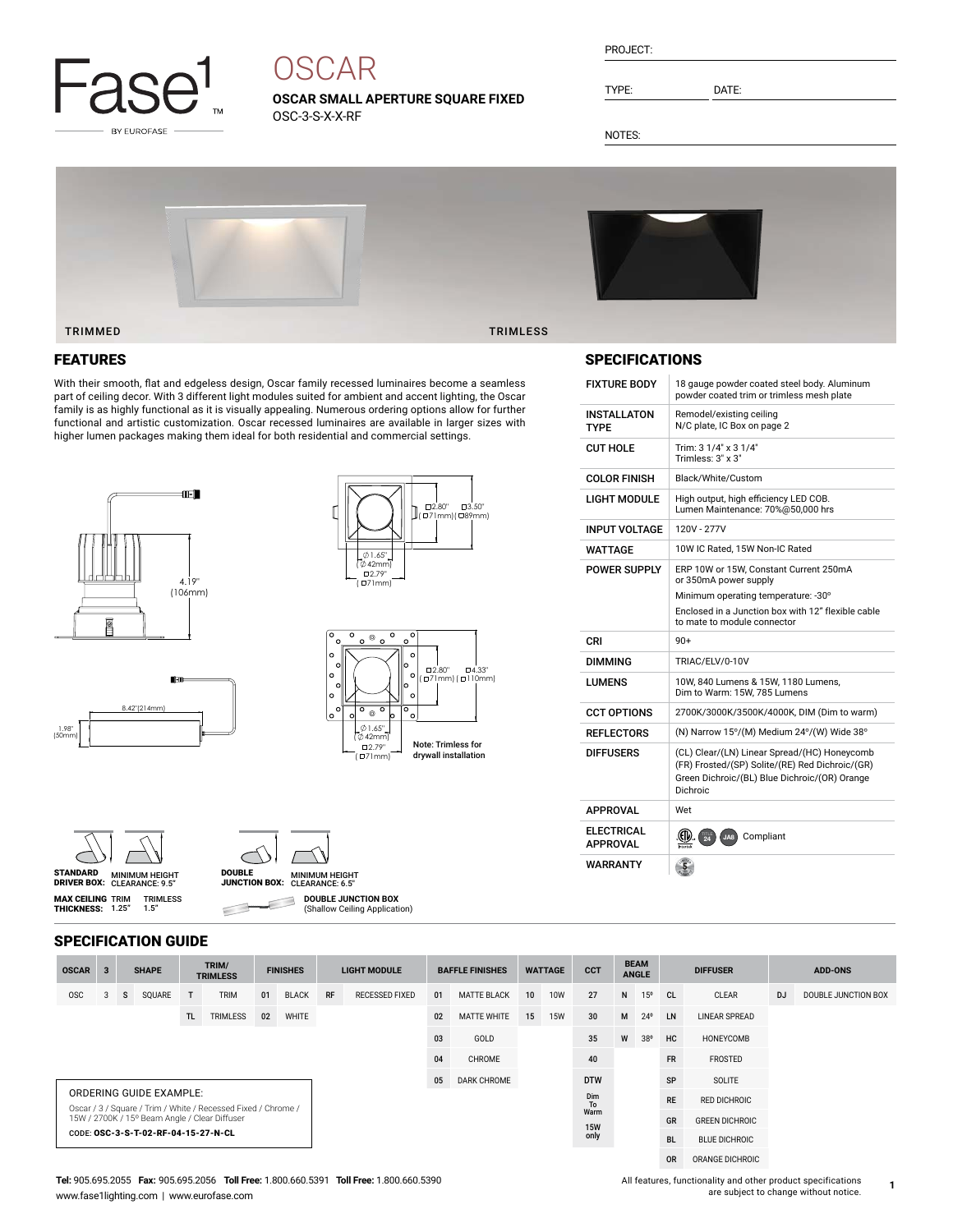

# **OSCAR**

**OSCAR SMALL APERTURE SQUARE FIXED** OSC-3-S-X-X-RF

| PRO. IFC |  |
|----------|--|
|          |  |

TYPE: DATE:

NOTES:



#### TRIMMED TRIMLESS

### FEATURES

With their smooth, flat and edgeless design, Oscar family recessed luminaires become a seamless part of ceiling decor. With 3 different light modules suited for ambient and accent lighting, the Oscar family is as highly functional as it is visually appealing. Numerous ordering options allow for further functional and artistic customization. Oscar recessed luminaires are available in larger sizes with higher lumen packages making them ideal for both residential and commercial settings.







TRIMLESS 1.5"





**MAX CEILING** TRIM<br>**THICKNESS:** 1.25"



**DOUBLE JUNCTION BOX** ₿

(Shallow Ceiling Application)

| <b>SPECIFICATION GUIDE</b>                                                                      |              |   |    |              |     |                          |    |                 |                    |                       |           |                        |                 |                       |                        |                             |                 |                 |                      |                |                     |
|-------------------------------------------------------------------------------------------------|--------------|---|----|--------------|-----|--------------------------|----|-----------------|--------------------|-----------------------|-----------|------------------------|-----------------|-----------------------|------------------------|-----------------------------|-----------------|-----------------|----------------------|----------------|---------------------|
|                                                                                                 | <b>OSCAR</b> | 3 |    | <b>SHAPE</b> |     | TRIM/<br><b>TRIMLESS</b> |    | <b>FINISHES</b> |                    | <b>LIGHT MODULE</b>   |           | <b>BAFFLE FINISHES</b> | <b>WATTAGE</b>  |                       | <b>CCT</b>             | <b>BEAM</b><br><b>ANGLE</b> |                 | <b>DIFFUSER</b> |                      | <b>ADD-ONS</b> |                     |
|                                                                                                 | <b>OSC</b>   |   | s. | SQUARE       | T   | <b>TRIM</b>              | 01 | <b>BLACK</b>    | RF                 | <b>RECESSED FIXED</b> | 01        | <b>MATTE BLACK</b>     | 10 <sup>1</sup> | <b>10W</b>            | 27                     | N                           | 15 <sup>o</sup> | <sub>CL</sub>   | <b>CLEAR</b>         | <b>DJ</b>      | DOUBLE JUNCTION BOX |
|                                                                                                 |              |   |    |              | TL. | TRIMLESS                 | 02 | WHITE           |                    |                       | 02        | <b>MATTE WHITE</b>     | 15              | <b>15W</b>            | 30                     | M                           | $24^{\circ}$    | LN              | <b>LINEAR SPREAD</b> |                |                     |
|                                                                                                 |              |   |    |              |     |                          | 03 | GOLD            |                    |                       | 35        | W                      | 38°             | HC                    | HONEYCOMB              |                             |                 |                 |                      |                |                     |
|                                                                                                 |              |   |    |              |     |                          | 04 | CHROME          |                    |                       | 40        |                        |                 | <b>FR</b>             | FROSTED                |                             |                 |                 |                      |                |                     |
|                                                                                                 |              |   |    |              |     |                          |    | 05              | <b>DARK CHROME</b> |                       |           | <b>DTW</b>             |                 |                       | SP                     | SOLITE                      |                 |                 |                      |                |                     |
| <b>ORDERING GUIDE EXAMPLE:</b><br>Oscar / 3 / Square / Trim / White / Recessed Fixed / Chrome / |              |   |    |              |     |                          |    |                 |                    |                       | Dim<br>To |                        |                 | <b>RE</b>             | <b>RED DICHROIC</b>    |                             |                 |                 |                      |                |                     |
| 15W / 2700K / 15° Beam Angle / Clear Diffuser                                                   |              |   |    |              |     |                          |    |                 |                    | Warm<br><b>15W</b>    |           |                        | GR              | <b>GREEN DICHROIC</b> |                        |                             |                 |                 |                      |                |                     |
| CODE: OSC-3-S-T-02-RF-04-15-27-N-CL                                                             |              |   |    |              |     |                          |    |                 |                    |                       | only      |                        |                 | DI.                   | <b>DULLE DICURDOIC</b> |                             |                 |                 |                      |                |                     |

### SPECIFICATIONS

| <b>FIXTURE BODY</b>           | 18 gauge powder coated steel body. Aluminum                                                                                                                  |
|-------------------------------|--------------------------------------------------------------------------------------------------------------------------------------------------------------|
|                               | powder coated trim or trimless mesh plate                                                                                                                    |
| INSTALLATON<br><b>TYPF</b>    | Remodel/existing ceiling<br>N/C plate. IC Box on page 2                                                                                                      |
| <b>CUT HOLE</b>               | Trim: 3 1/4" x 3 1/4"<br>Trimless: 3" x 3"                                                                                                                   |
| COLOR FINISH                  | Black/White/Custom                                                                                                                                           |
| LIGHT MODULE                  | High output, high efficiency LED COB.<br>Lumen Maintenance: 70%@50.000 hrs                                                                                   |
| <b>INPUT VOLTAGE</b>          | 120V - 277V                                                                                                                                                  |
| WATTAGF                       | 10W IC Rated, 15W Non-IC Rated                                                                                                                               |
| POWER SUPPLY                  | ERP 10W or 15W. Constant Current 250mA<br>or 350mA power supply                                                                                              |
|                               | Minimum operating temperature: -30°                                                                                                                          |
|                               | Enclosed in a Junction box with 12" flexible cable<br>to mate to module connector                                                                            |
| CRI                           | $90+$                                                                                                                                                        |
| <b>DIMMING</b>                | TRIAC/ELV/0-10V                                                                                                                                              |
| LUMENS                        | 10W. 840 Lumens & 15W. 1180 Lumens.<br>Dim to Warm: 15W, 785 Lumens                                                                                          |
| <b>CCT OPTIONS</b>            | 2700K/3000K/3500K/4000K, DIM (Dim to warm)                                                                                                                   |
| <b>REFLECTORS</b>             | (N) Narrow 15°/(M) Medium 24°/(W) Wide 38°                                                                                                                   |
| <b>DIFFUSERS</b>              | (CL) Clear/(LN) Linear Spread/(HC) Honeycomb<br>(FR) Frosted/(SP) Solite/(RE) Red Dichroic/(GR)<br>Green Dichroic/(BL) Blue Dichroic/(OR) Orange<br>Dichroic |
| APPROVAL                      | Wet                                                                                                                                                          |
| ELECTRICAL<br><b>APPROVAL</b> | .GD<br>圆<br>Compliant<br>JA8                                                                                                                                 |
| WARRANTY                      | $\overline{5}$                                                                                                                                               |

 $\subset$ 

**1**

BL BLUE DICHROIC OR ORANGE DICHROIC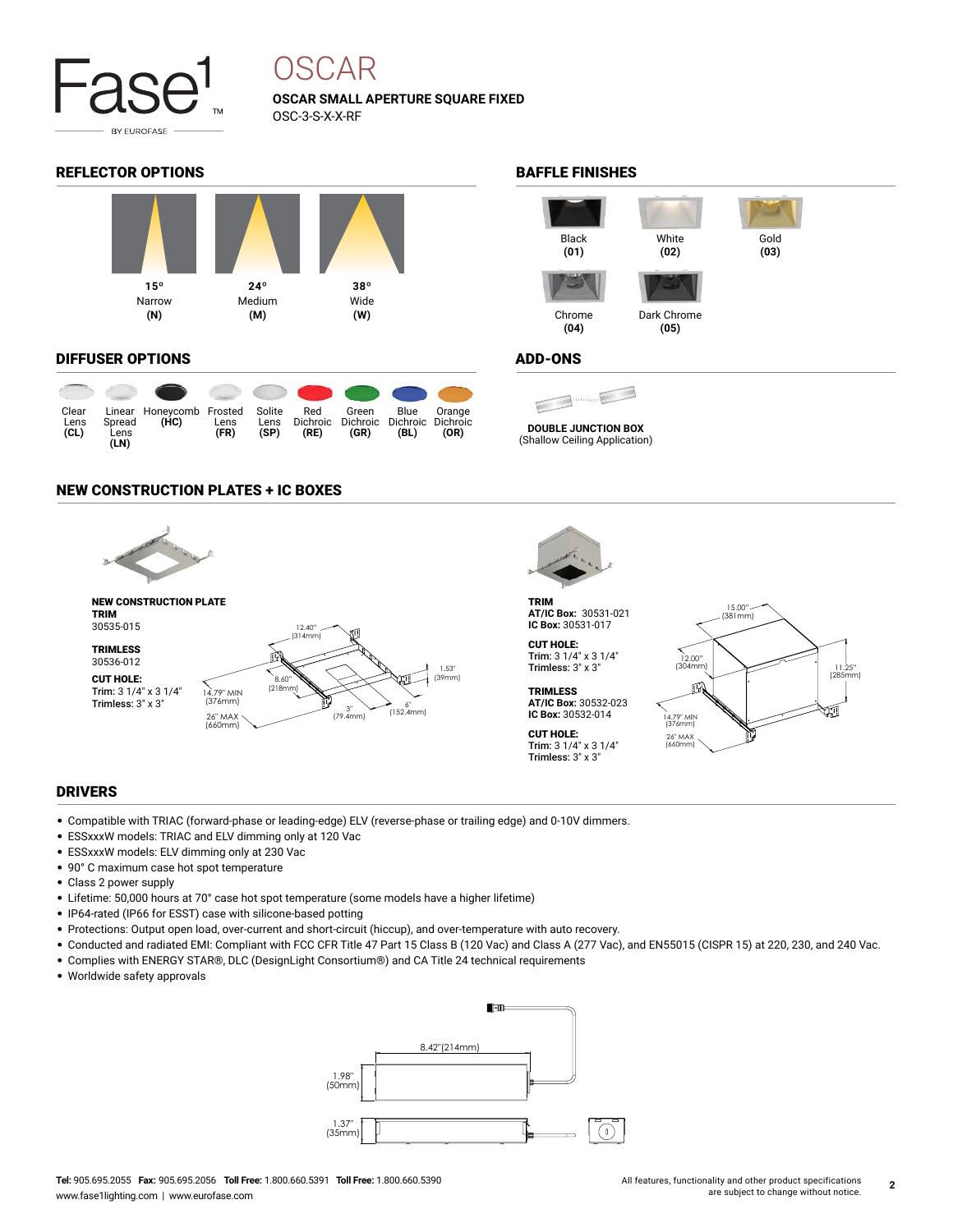

# OSCAR

**OSCAR SMALL APERTURE SQUARE FIXED** OSC-3-S-X-X-RF

#### REFLECTOR OPTIONS **BAFFLE FINISHES**



#### DIFFUSER OPTIONS

| Clear<br>Lens<br>CL) | Spread<br>Lens<br>(LN) | Linear Honeycomb Frosted<br>(HC) | Lens<br>(FR) | Solite<br>Lens<br>(SP) | Red<br>Dichroic<br>(RE) | Green<br>Dichroic<br>(GR) | Blue<br>Dichroic Dichroic<br>(BL) | Orange<br>(OR) |
|----------------------|------------------------|----------------------------------|--------------|------------------------|-------------------------|---------------------------|-----------------------------------|----------------|

#### NEW CONSTRUCTION PLATES + IC BOXES





TRIM **AT/IC Box:** 30531-021 **IC Box:** 30531-017

CUT HOLE: Trim: 3 1/4" x 3 1/4" Trimless: 3" x 3"

**TRIMLESS AT/IC Box:** 30532-023 **IC Box:** 30532-014 CUT HOLE:

Trim: 3 1/4" x 3 1/4" Trimless: 3" x 3"

15.00" (381mm) 12.00" (304mm) 11.25" (285mm) пJ 14.79" MIN (376mm) 26" MAX (660mm)

#### DRIVERS

- Compatible with TRIAC (forward-phase or leading-edge) ELV (reverse-phase or trailing edge) and 0-10V dimmers.
- ESSxxxW models: TRIAC and ELV dimming only at 120 Vac
- ESSxxxW models: ELV dimming only at 230 Vac
- 90° C maximum case hot spot temperature
- Class 2 power supply
- Lifetime: 50,000 hours at 70° case hot spot temperature (some models have a higher lifetime)
- IP64-rated (IP66 for ESST) case with silicone-based potting
- Protections: Output open load, over-current and short-circuit (hiccup), and over-temperature with auto recovery.
- Conducted and radiated EMI: Compliant with FCC CFR Title 47 Part 15 Class B (120 Vac) and Class A (277 Vac), and EN55015 (CISPR 15) at 220, 230, and 240 Vac.
- Complies with ENERGY STAR®, DLC (DesignLight Consortium®) and CA Title 24 technical requirements
- Worldwide safety approvals





#### ADD-ONS

**DOUBLE JUNCTION BOX**

(Shallow Ceiling Application)